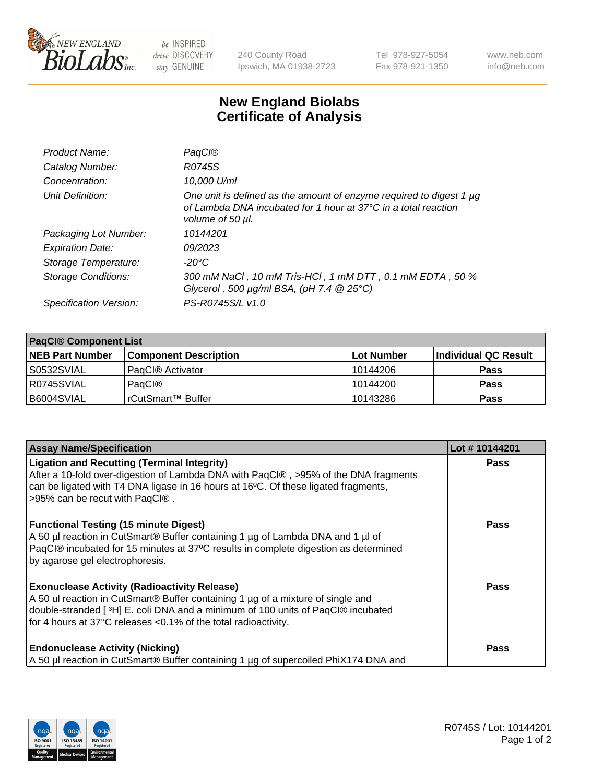

 $be$  INSPIRED drive DISCOVERY stay GENUINE

240 County Road Ipswich, MA 01938-2723 Tel 978-927-5054 Fax 978-921-1350 www.neb.com info@neb.com

## **New England Biolabs Certificate of Analysis**

| Product Name:              | <b>PagCI®</b>                                                                                                                                                       |
|----------------------------|---------------------------------------------------------------------------------------------------------------------------------------------------------------------|
| Catalog Number:            | R0745S                                                                                                                                                              |
| Concentration:             | 10,000 U/ml                                                                                                                                                         |
| Unit Definition:           | One unit is defined as the amount of enzyme required to digest 1 µg<br>of Lambda DNA incubated for 1 hour at $37^{\circ}$ C in a total reaction<br>volume of 50 µl. |
| Packaging Lot Number:      | 10144201                                                                                                                                                            |
| <b>Expiration Date:</b>    | 09/2023                                                                                                                                                             |
| Storage Temperature:       | -20°C                                                                                                                                                               |
| <b>Storage Conditions:</b> | 300 mM NaCl , 10 mM Tris-HCl , 1 mM DTT , 0.1 mM EDTA , 50 %<br>Glycerol, 500 $\mu$ g/ml BSA, (pH 7.4 $@25°C$ )                                                     |
| Specification Version:     | PS-R0745S/L v1.0                                                                                                                                                    |

| <b>PaqCI® Component List</b> |                              |                   |                      |  |  |
|------------------------------|------------------------------|-------------------|----------------------|--|--|
| <b>NEB Part Number</b>       | <b>Component Description</b> | <b>Lot Number</b> | Individual QC Result |  |  |
| S0532SVIAL                   | PagCl <sup>®</sup> Activator | 10144206          | <b>Pass</b>          |  |  |
| R0745SVIAL                   | PagCl®                       | 10144200          | <b>Pass</b>          |  |  |
| B6004SVIAL                   | l rCutSmart™ Buffer          | 10143286          | <b>Pass</b>          |  |  |

| <b>Assay Name/Specification</b>                                                                                                                                                                                                                                                             | Lot #10144201 |
|---------------------------------------------------------------------------------------------------------------------------------------------------------------------------------------------------------------------------------------------------------------------------------------------|---------------|
| <b>Ligation and Recutting (Terminal Integrity)</b><br>After a 10-fold over-digestion of Lambda DNA with PaqCl®, >95% of the DNA fragments<br>can be ligated with T4 DNA ligase in 16 hours at 16°C. Of these ligated fragments,<br>>95% can be recut with PaqCl®.                           | <b>Pass</b>   |
| <b>Functional Testing (15 minute Digest)</b><br>A 50 µl reaction in CutSmart® Buffer containing 1 µg of Lambda DNA and 1 µl of<br>PagCl® incubated for 15 minutes at 37°C results in complete digestion as determined<br>by agarose gel electrophoresis.                                    | <b>Pass</b>   |
| <b>Exonuclease Activity (Radioactivity Release)</b><br>A 50 ul reaction in CutSmart® Buffer containing 1 µg of a mixture of single and<br>double-stranded [3H] E. coli DNA and a minimum of 100 units of PaqCl® incubated<br>for 4 hours at 37°C releases <0.1% of the total radioactivity. | <b>Pass</b>   |
| <b>Endonuclease Activity (Nicking)</b><br>A 50 µl reaction in CutSmart® Buffer containing 1 µg of supercoiled PhiX174 DNA and                                                                                                                                                               | <b>Pass</b>   |